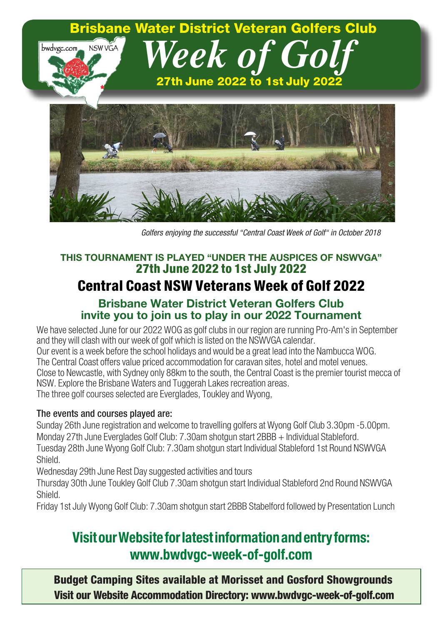

*Golfers enjoying the successful "Central Coast Week of Golf" in October 2018*

### **THIS TOURNAMENT IS PLAYED "UNDER THE AUSPICES OF NSWVGA"** 27th June 2022 to 1st July 2022

## Central Coast NSW Veterans Week of Golf 2022

#### **Brisbane Water District Veteran Golfers Club invite you to join us to play in our 2022 Tournament**

We have selected June for our 2022 WOG as golf clubs in our region are running Pro-Am's in September and they will clash with our week of golf which is listed on the NSWVGA calendar. Our event is a week before the school holidays and would be a great lead into the Nambucca WOG. The Central Coast offers value priced accommodation for caravan sites, hotel and motel venues. Close to Newcastle, with Sydney only 88km to the south, the Central Coast is the premier tourist mecca of NSW. Explore the Brisbane Waters and Tuggerah Lakes recreation areas. The three golf courses selected are Everglades, Toukley and Wyong,

#### The events and courses played are:

Sunday 26th June registration and welcome to travelling golfers at Wyong Golf Club 3.30pm -5.00pm. Monday 27th June Everglades Golf Club: 7.30am shotgun start 2BBB + Individual Stableford. Tuesday 28th June Wyong Golf Club: 7.30am shotgun start Individual Stableford 1st Round NSWVGA Shield.

Wednesday 29th June Rest Day suggested activities and tours

Thursday 30th June Toukley Golf Club 7.30am shotgun start Individual Stableford 2nd Round NSWVGA Shield.

Friday 1st July Wyong Golf Club: 7.30am shotgun start 2BBB Stabelford followed by Presentation Lunch

## **VisitourWebsiteforlatestinformationandentryforms: www.bwdvgc-week-of-golf.com**

Budget Camping Sites available at Morisset and Gosford Showgrounds Visit our Website Accommodation Directory: www.bwdvgc-week-of-golf.com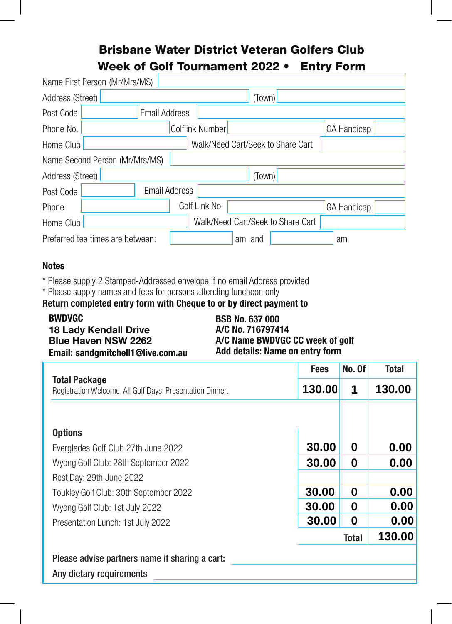## Brisbane Water District Veteran Golfers Club Week of Golf Tournament 20**2**2 • Entry Form

| Name First Person (Mr/Mrs/MS)    |                                   |                    |
|----------------------------------|-----------------------------------|--------------------|
| Address (Street)                 | (Town)                            |                    |
| Post Code                        | <b>Email Address</b>              |                    |
| Phone No.                        | Golflink Number                   | <b>GA Handicap</b> |
| Home Club                        | Walk/Need Cart/Seek to Share Cart |                    |
| Name Second Person (Mr/Mrs/MS)   |                                   |                    |
| Address (Street)                 | (Town)                            |                    |
| Post Code                        | <b>Email Address</b>              |                    |
| Phone                            | Golf Link No.                     | <b>GA Handicap</b> |
| Home Club                        | Walk/Need Cart/Seek to Share Cart |                    |
| Preferred tee times are between: | am and                            | am                 |

#### **Notes**

\* Please supply 2 Stamped-Addressed envelope if no email Address provided

\* Please supply names and fees for persons attending luncheon only

**Return completed entry form with Cheque to or by direct payment to**

| <b>BWDVGC</b>                     | <b>BSB No. 637 000</b>          |
|-----------------------------------|---------------------------------|
| <b>18 Lady Kendall Drive</b>      | A/C No. 716797414               |
| <b>Blue Haven NSW 2262</b>        | A/C Name BWDVGC CC week of golf |
| Email: sandgmitchell1@live.com.au | Add details: Name on entry form |

|                                                                            | <b>Fees</b>            | No. Of | <b>Total</b> |
|----------------------------------------------------------------------------|------------------------|--------|--------------|
| Total Package<br>Registration Welcome, All Golf Days, Presentation Dinner. |                        | 1      | 130.00       |
|                                                                            |                        |        |              |
| <b>Options</b>                                                             |                        |        |              |
| Everglades Golf Club 27th June 2022                                        |                        | 0      | 0.00         |
| Wyong Golf Club: 28th September 2022                                       | 30.00                  | 0      | 0.00         |
| Rest Day: 29th June 2022                                                   |                        |        |              |
| Toukley Golf Club: 30th September 2022                                     | 30.00                  | 0      | 0.00         |
| Wyong Golf Club: 1st July 2022                                             | 30.00                  | 0      | 0.00         |
| Presentation Lunch: 1st July 2022                                          | 30.00                  | 0      | 0.00         |
|                                                                            | 130.00<br><b>Total</b> |        |              |
| Please advise partners name if sharing a cart:                             |                        |        |              |
| Any dietary requirements                                                   |                        |        |              |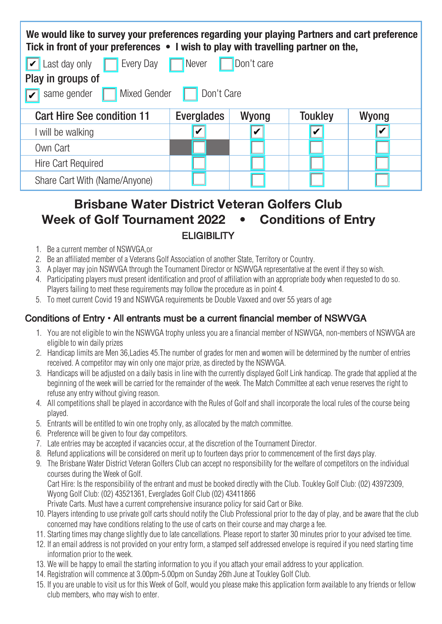| We would like to survey your preferences regarding your playing Partners and cart preference<br>Tick in front of your preferences • I wish to play with travelling partner on the, |                   |                  |                |       |  |  |  |  |
|------------------------------------------------------------------------------------------------------------------------------------------------------------------------------------|-------------------|------------------|----------------|-------|--|--|--|--|
| $\triangleright$ Last day only<br>Every Day<br>Don't care<br><b>Never</b>                                                                                                          |                   |                  |                |       |  |  |  |  |
| Play in groups of                                                                                                                                                                  |                   |                  |                |       |  |  |  |  |
| Mixed Gender<br>Don't Care<br>same gender                                                                                                                                          |                   |                  |                |       |  |  |  |  |
| <b>Cart Hire See condition 11</b>                                                                                                                                                  | <b>Everglades</b> | Wyong            | <b>Toukley</b> | Wyong |  |  |  |  |
| l will be walking                                                                                                                                                                  | V                 | $\boldsymbol{v}$ | V              | V     |  |  |  |  |
| Own Cart                                                                                                                                                                           |                   |                  |                |       |  |  |  |  |
| Hire Cart Required                                                                                                                                                                 |                   |                  |                |       |  |  |  |  |
| Share Cart With (Name/Anyone)                                                                                                                                                      |                   |                  |                |       |  |  |  |  |

### **Brisbane Water District Veteran Golfers Club Week of Golf Tournament 2022 • Conditions of Entry** ELIGIBILITY

- 1. Be a current member of NSWVGA or
- 2. Be an affiliated member of a Veterans Golf Association of another State, Territory or Country.
- 3. A player may join NSWVGA through the Tournament Director or NSWVGA representative at the event if they so wish.
- 4. Participating players must present identification and proof of affiliation with an appropriate body when requested to do so. Players failing to meet these requirements may follow the procedure as in point 4.
- 5. To meet current Covid 19 and NSWVGA requirements be Double Vaxxed and over 55 years of age

#### Conditions of Entry • All entrants must be a current financial member of NSWVGA

- 1. You are not eligible to win the NSWVGA trophy unless you are a financial member of NSWVGA, non-members of NSWVGA are eligible to win daily prizes
- 2. Handicap limits are Men 36,Ladies 45.The number of grades for men and women will be determined by the number of entries received. A competitor may win only one major prize, as directed by the NSWVGA.
- 3. Handicaps will be adjusted on a daily basis in line with the currently displayed Golf Link handicap. The grade that applied at the beginning of the week will be carried for the remainder of the week. The Match Committee at each venue reserves the right to refuse any entry without giving reason.
- 4. All competitions shall be played in accordance with the Rules of Golf and shall incorporate the local rules of the course being played.
- 5. Entrants will be entitled to win one trophy only, as allocated by the match committee.
- 6. Preference will be given to four day competitors.
- 7. Late entries may be accepted if vacancies occur, at the discretion of the Tournament Director.
- 8. Refund applications will be considered on merit up to fourteen days prior to commencement of the first days play.
- 9. The Brisbane Water District Veteran Golfers Club can accept no responsibility for the welfare of competitors on the individual courses during the Week of Golf.

Cart Hire: Is the responsibility of the entrant and must be booked directly with the Club. Toukley Golf Club: (02) 43972309, Wyong Golf Club: (02) 43521361, Everglades Golf Club (02) 43411866

Private Carts. Must have a current comprehensive insurance policy for said Cart or Bike.

- 10. Players intending to use private golf carts should notify the Club Professional prior to the day of play, and be aware that the club concerned may have conditions relating to the use of carts on their course and may charge a fee.
- 11. Starting times may change slightly due to late cancellations. Please report to starter 30 minutes prior to your advised tee time.
- 12. If an email address is not provided on your entry form, a stamped self addressed envelope is required if you need starting time information prior to the week.
- 13. We will be happy to email the starting information to you if you attach your email address to your application.
- 14. Registration will commence at 3.00pm-5.00pm on Sunday 26th June at Toukley Golf Club.
- 15. If you are unable to visit us for this Week of Golf, would you please make this application form available to any friends or fellow club members, who may wish to enter.